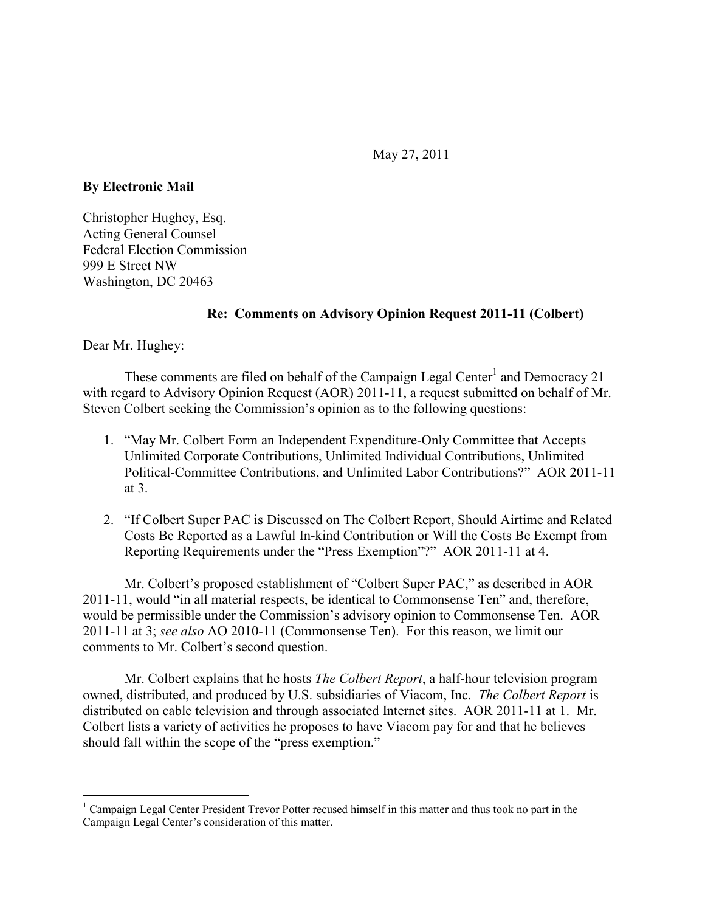May 27, 2011

**By Electronic Mail** 

Christopher Hughey, Esq. Acting General Counsel Federal Election Commission 999 E Street NW Washington, DC 20463

#### **Re: Comments on Advisory Opinion Request 2011-11 (Colbert)**

Dear Mr. Hughey:

 $\overline{a}$ 

These comments are filed on behalf of the Campaign Legal Center<sup>1</sup> and Democracy 21 with regard to Advisory Opinion Request (AOR) 2011-11, a request submitted on behalf of Mr. Steven Colbert seeking the Commission's opinion as to the following questions:

- 1. "May Mr. Colbert Form an Independent Expenditure-Only Committee that Accepts Unlimited Corporate Contributions, Unlimited Individual Contributions, Unlimited Political-Committee Contributions, and Unlimited Labor Contributions?" AOR 2011-11 at 3.
- 2. "If Colbert Super PAC is Discussed on The Colbert Report, Should Airtime and Related Costs Be Reported as a Lawful In-kind Contribution or Will the Costs Be Exempt from Reporting Requirements under the "Press Exemption"?" AOR 2011-11 at 4.

Mr. Colbert's proposed establishment of "Colbert Super PAC," as described in AOR 2011-11, would "in all material respects, be identical to Commonsense Ten" and, therefore, would be permissible under the Commission's advisory opinion to Commonsense Ten. AOR 2011-11 at 3; *see also* AO 2010-11 (Commonsense Ten). For this reason, we limit our comments to Mr. Colbert's second question.

Mr. Colbert explains that he hosts *The Colbert Report*, a half-hour television program owned, distributed, and produced by U.S. subsidiaries of Viacom, Inc. *The Colbert Report* is distributed on cable television and through associated Internet sites. AOR 2011-11 at 1. Mr. Colbert lists a variety of activities he proposes to have Viacom pay for and that he believes should fall within the scope of the "press exemption."

<sup>&</sup>lt;sup>1</sup> Campaign Legal Center President Trevor Potter recused himself in this matter and thus took no part in the Campaign Legal Center's consideration of this matter.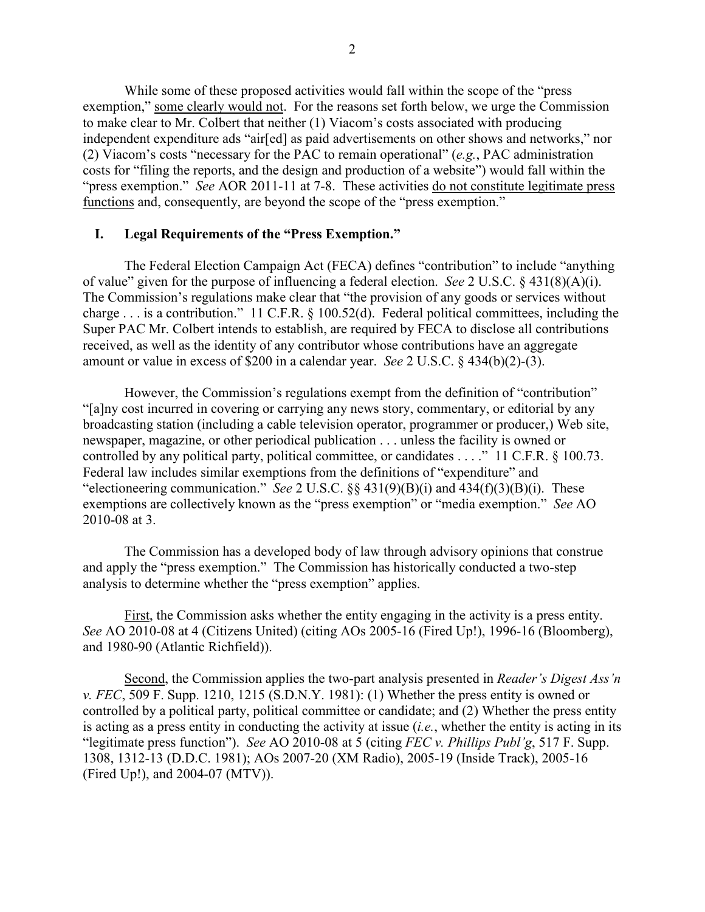While some of these proposed activities would fall within the scope of the "press exemption," some clearly would not. For the reasons set forth below, we urge the Commission to make clear to Mr. Colbert that neither (1) Viacom's costs associated with producing independent expenditure ads "air[ed] as paid advertisements on other shows and networks," nor (2) Viacom's costs "necessary for the PAC to remain operational" (*e.g.*, PAC administration costs for "filing the reports, and the design and production of a website") would fall within the "press exemption." *See* AOR 2011-11 at 7-8. These activities do not constitute legitimate press functions and, consequently, are beyond the scope of the "press exemption."

#### **I. Legal Requirements of the "Press Exemption."**

The Federal Election Campaign Act (FECA) defines "contribution" to include "anything of value" given for the purpose of influencing a federal election. *See* 2 U.S.C. § 431(8)(A)(i). The Commission's regulations make clear that "the provision of any goods or services without charge  $\ldots$  is a contribution." 11 C.F.R. § 100.52(d). Federal political committees, including the Super PAC Mr. Colbert intends to establish, are required by FECA to disclose all contributions received, as well as the identity of any contributor whose contributions have an aggregate amount or value in excess of \$200 in a calendar year. *See* 2 U.S.C. § 434(b)(2)-(3).

However, the Commission's regulations exempt from the definition of "contribution" "[a]ny cost incurred in covering or carrying any news story, commentary, or editorial by any broadcasting station (including a cable television operator, programmer or producer,) Web site, newspaper, magazine, or other periodical publication . . . unless the facility is owned or controlled by any political party, political committee, or candidates . . . ." 11 C.F.R. § 100.73. Federal law includes similar exemptions from the definitions of "expenditure" and "electioneering communication." *See* 2 U.S.C. §§ 431(9)(B)(i) and 434(f)(3)(B)(i). These exemptions are collectively known as the "press exemption" or "media exemption." *See* AO 2010-08 at 3.

The Commission has a developed body of law through advisory opinions that construe and apply the "press exemption." The Commission has historically conducted a two-step analysis to determine whether the "press exemption" applies.

First, the Commission asks whether the entity engaging in the activity is a press entity. *See* AO 2010-08 at 4 (Citizens United) (citing AOs 2005-16 (Fired Up!), 1996-16 (Bloomberg), and 1980-90 (Atlantic Richfield)).

Second, the Commission applies the two-part analysis presented in *Reader's Digest Ass'n v. FEC*, 509 F. Supp. 1210, 1215 (S.D.N.Y. 1981): (1) Whether the press entity is owned or controlled by a political party, political committee or candidate; and (2) Whether the press entity is acting as a press entity in conducting the activity at issue (*i.e.*, whether the entity is acting in its "legitimate press function"). *See* AO 2010-08 at 5 (citing *FEC v. Phillips Publ'g*, 517 F. Supp. 1308, 1312-13 (D.D.C. 1981); AOs 2007-20 (XM Radio), 2005-19 (Inside Track), 2005-16 (Fired Up!), and 2004-07 (MTV)).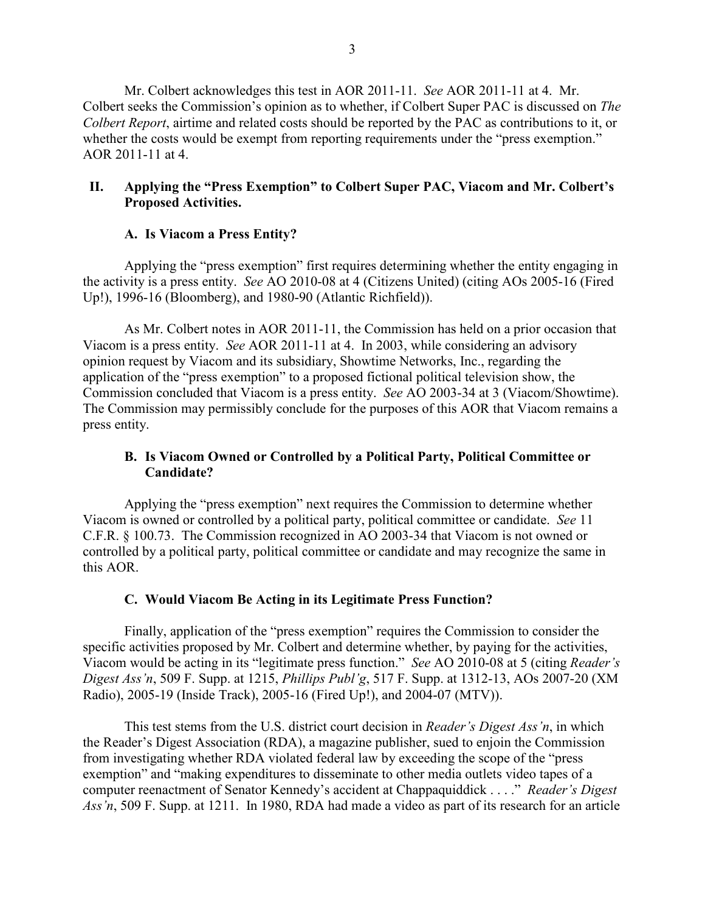Mr. Colbert acknowledges this test in AOR 2011-11. *See* AOR 2011-11 at 4. Mr. Colbert seeks the Commission's opinion as to whether, if Colbert Super PAC is discussed on *The Colbert Report*, airtime and related costs should be reported by the PAC as contributions to it, or whether the costs would be exempt from reporting requirements under the "press exemption." AOR 2011-11 at 4.

## **II. Applying the "Press Exemption" to Colbert Super PAC, Viacom and Mr. Colbert's Proposed Activities.**

# **A. Is Viacom a Press Entity?**

Applying the "press exemption" first requires determining whether the entity engaging in the activity is a press entity. *See* AO 2010-08 at 4 (Citizens United) (citing AOs 2005-16 (Fired Up!), 1996-16 (Bloomberg), and 1980-90 (Atlantic Richfield)).

As Mr. Colbert notes in AOR 2011-11, the Commission has held on a prior occasion that Viacom is a press entity. *See* AOR 2011-11 at 4. In 2003, while considering an advisory opinion request by Viacom and its subsidiary, Showtime Networks, Inc., regarding the application of the "press exemption" to a proposed fictional political television show, the Commission concluded that Viacom is a press entity. *See* AO 2003-34 at 3 (Viacom/Showtime). The Commission may permissibly conclude for the purposes of this AOR that Viacom remains a press entity.

## **B. Is Viacom Owned or Controlled by a Political Party, Political Committee or Candidate?**

Applying the "press exemption" next requires the Commission to determine whether Viacom is owned or controlled by a political party, political committee or candidate. *See* 11 C.F.R. § 100.73. The Commission recognized in AO 2003-34 that Viacom is not owned or controlled by a political party, political committee or candidate and may recognize the same in this AOR.

## **C. Would Viacom Be Acting in its Legitimate Press Function?**

Finally, application of the "press exemption" requires the Commission to consider the specific activities proposed by Mr. Colbert and determine whether, by paying for the activities, Viacom would be acting in its "legitimate press function." *See* AO 2010-08 at 5 (citing *Reader's Digest Ass'n*, 509 F. Supp. at 1215, *Phillips Publ'g*, 517 F. Supp. at 1312-13, AOs 2007-20 (XM Radio), 2005-19 (Inside Track), 2005-16 (Fired Up!), and 2004-07 (MTV)).

This test stems from the U.S. district court decision in *Reader's Digest Ass'n*, in which the Reader's Digest Association (RDA), a magazine publisher, sued to enjoin the Commission from investigating whether RDA violated federal law by exceeding the scope of the "press exemption" and "making expenditures to disseminate to other media outlets video tapes of a computer reenactment of Senator Kennedy's accident at Chappaquiddick . . . ." *Reader's Digest Ass'n*, 509 F. Supp. at 1211. In 1980, RDA had made a video as part of its research for an article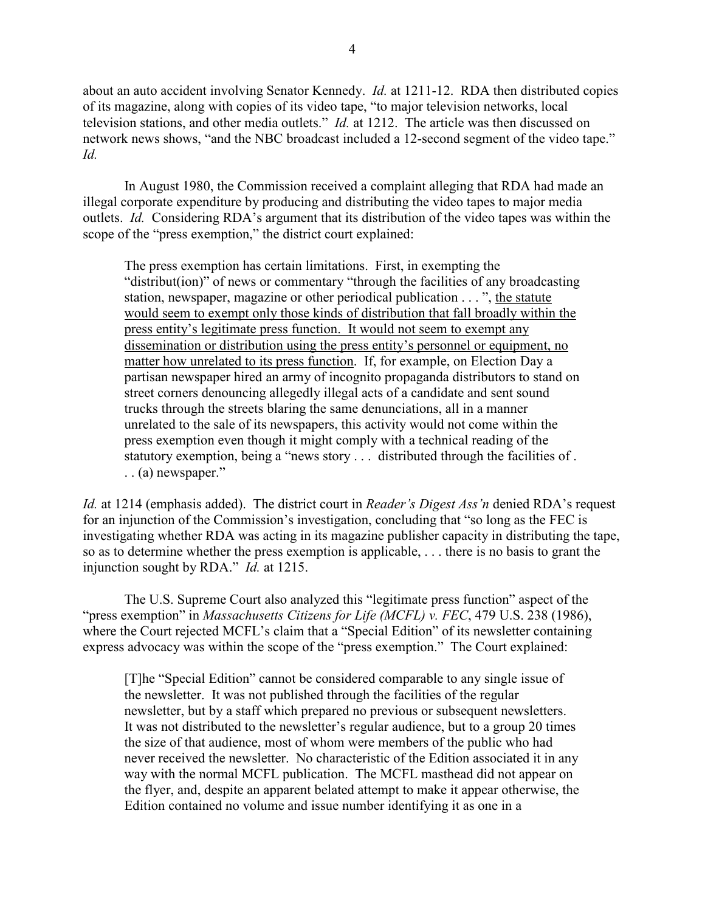about an auto accident involving Senator Kennedy. *Id.* at 1211-12. RDA then distributed copies of its magazine, along with copies of its video tape, "to major television networks, local television stations, and other media outlets." *Id.* at 1212. The article was then discussed on network news shows, "and the NBC broadcast included a 12-second segment of the video tape." *Id.*

In August 1980, the Commission received a complaint alleging that RDA had made an illegal corporate expenditure by producing and distributing the video tapes to major media outlets. *Id.* Considering RDA's argument that its distribution of the video tapes was within the scope of the "press exemption," the district court explained:

The press exemption has certain limitations. First, in exempting the "distribut(ion)" of news or commentary "through the facilities of any broadcasting station, newspaper, magazine or other periodical publication . . . ", the statute would seem to exempt only those kinds of distribution that fall broadly within the press entity's legitimate press function. It would not seem to exempt any dissemination or distribution using the press entity's personnel or equipment, no matter how unrelated to its press function. If, for example, on Election Day a partisan newspaper hired an army of incognito propaganda distributors to stand on street corners denouncing allegedly illegal acts of a candidate and sent sound trucks through the streets blaring the same denunciations, all in a manner unrelated to the sale of its newspapers, this activity would not come within the press exemption even though it might comply with a technical reading of the statutory exemption, being a "news story . . . distributed through the facilities of . . . (a) newspaper."

*Id.* at 1214 (emphasis added). The district court in *Reader's Digest Ass'n* denied RDA's request for an injunction of the Commission's investigation, concluding that "so long as the FEC is investigating whether RDA was acting in its magazine publisher capacity in distributing the tape, so as to determine whether the press exemption is applicable, . . . there is no basis to grant the injunction sought by RDA." *Id.* at 1215.

The U.S. Supreme Court also analyzed this "legitimate press function" aspect of the "press exemption" in *Massachusetts Citizens for Life (MCFL) v. FEC*, 479 U.S. 238 (1986), where the Court rejected MCFL's claim that a "Special Edition" of its newsletter containing express advocacy was within the scope of the "press exemption." The Court explained:

[T]he "Special Edition" cannot be considered comparable to any single issue of the newsletter. It was not published through the facilities of the regular newsletter, but by a staff which prepared no previous or subsequent newsletters. It was not distributed to the newsletter's regular audience, but to a group 20 times the size of that audience, most of whom were members of the public who had never received the newsletter. No characteristic of the Edition associated it in any way with the normal MCFL publication. The MCFL masthead did not appear on the flyer, and, despite an apparent belated attempt to make it appear otherwise, the Edition contained no volume and issue number identifying it as one in a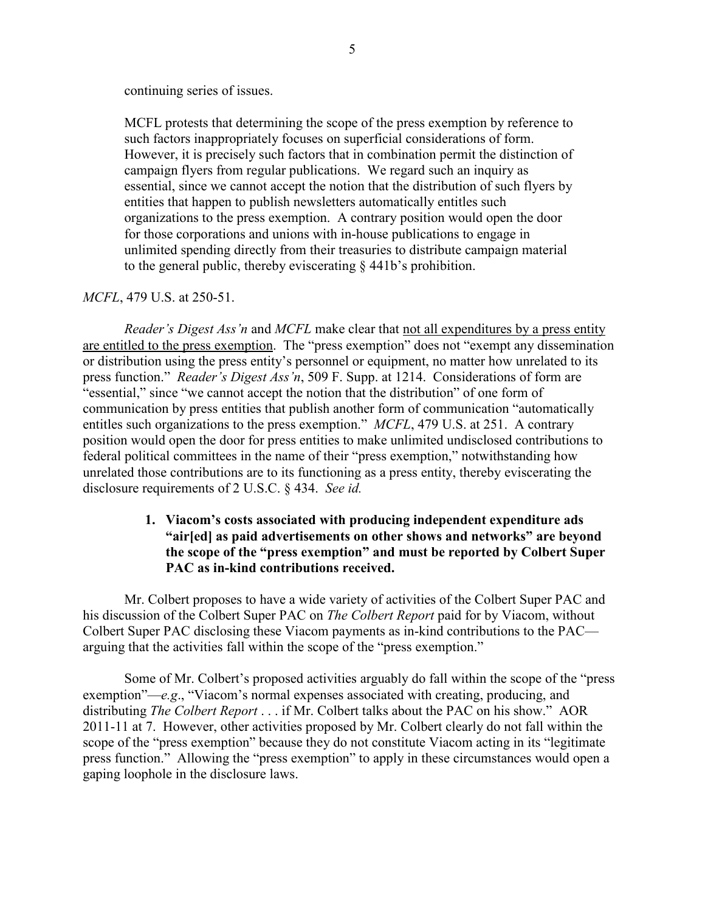continuing series of issues.

MCFL protests that determining the scope of the press exemption by reference to such factors inappropriately focuses on superficial considerations of form. However, it is precisely such factors that in combination permit the distinction of campaign flyers from regular publications. We regard such an inquiry as essential, since we cannot accept the notion that the distribution of such flyers by entities that happen to publish newsletters automatically entitles such organizations to the press exemption. A contrary position would open the door for those corporations and unions with in-house publications to engage in unlimited spending directly from their treasuries to distribute campaign material to the general public, thereby eviscerating § 441b's prohibition.

#### *MCFL*, 479 U.S. at 250-51.

*Reader's Digest Ass'n* and *MCFL* make clear that not all expenditures by a press entity are entitled to the press exemption. The "press exemption" does not "exempt any dissemination or distribution using the press entity's personnel or equipment, no matter how unrelated to its press function." *Reader's Digest Ass'n*, 509 F. Supp. at 1214. Considerations of form are "essential," since "we cannot accept the notion that the distribution" of one form of communication by press entities that publish another form of communication "automatically entitles such organizations to the press exemption." *MCFL*, 479 U.S. at 251. A contrary position would open the door for press entities to make unlimited undisclosed contributions to federal political committees in the name of their "press exemption," notwithstanding how unrelated those contributions are to its functioning as a press entity, thereby eviscerating the disclosure requirements of 2 U.S.C. § 434. *See id.*

#### **1. Viacom's costs associated with producing independent expenditure ads "air[ed] as paid advertisements on other shows and networks" are beyond the scope of the "press exemption" and must be reported by Colbert Super PAC as in-kind contributions received.**

Mr. Colbert proposes to have a wide variety of activities of the Colbert Super PAC and his discussion of the Colbert Super PAC on *The Colbert Report* paid for by Viacom, without Colbert Super PAC disclosing these Viacom payments as in-kind contributions to the PAC arguing that the activities fall within the scope of the "press exemption."

Some of Mr. Colbert's proposed activities arguably do fall within the scope of the "press exemption"—*e.g*., "Viacom's normal expenses associated with creating, producing, and distributing *The Colbert Report* . . . if Mr. Colbert talks about the PAC on his show." AOR 2011-11 at 7. However, other activities proposed by Mr. Colbert clearly do not fall within the scope of the "press exemption" because they do not constitute Viacom acting in its "legitimate press function." Allowing the "press exemption" to apply in these circumstances would open a gaping loophole in the disclosure laws.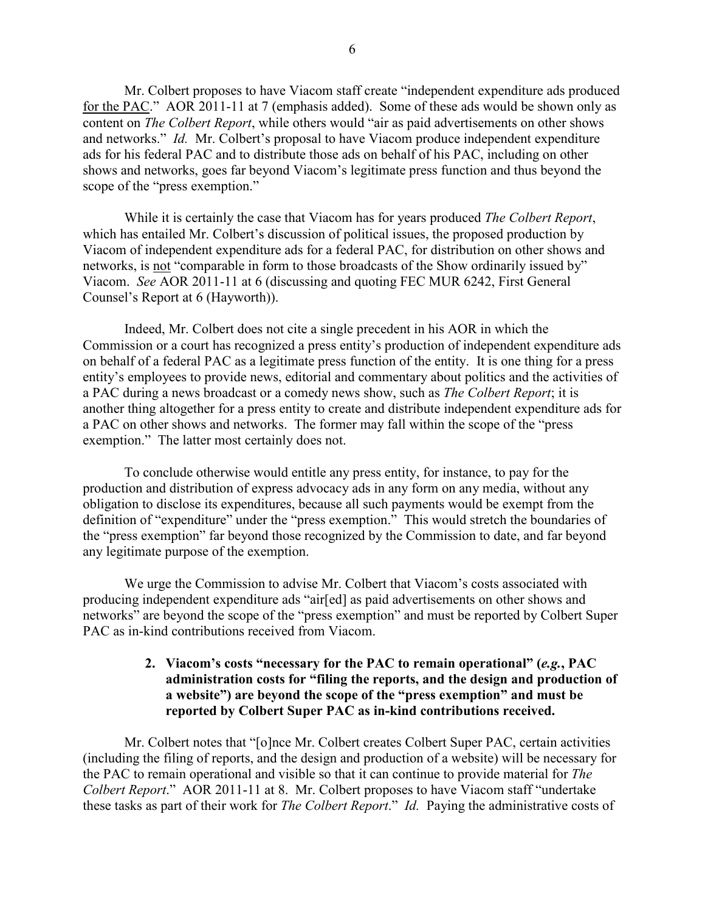Mr. Colbert proposes to have Viacom staff create "independent expenditure ads produced for the PAC." AOR 2011-11 at 7 (emphasis added). Some of these ads would be shown only as content on *The Colbert Report*, while others would "air as paid advertisements on other shows and networks." *Id.* Mr. Colbert's proposal to have Viacom produce independent expenditure ads for his federal PAC and to distribute those ads on behalf of his PAC, including on other shows and networks, goes far beyond Viacom's legitimate press function and thus beyond the scope of the "press exemption."

While it is certainly the case that Viacom has for years produced *The Colbert Report*, which has entailed Mr. Colbert's discussion of political issues, the proposed production by Viacom of independent expenditure ads for a federal PAC, for distribution on other shows and networks, is not "comparable in form to those broadcasts of the Show ordinarily issued by" Viacom. *See* AOR 2011-11 at 6 (discussing and quoting FEC MUR 6242, First General Counsel's Report at 6 (Hayworth)).

Indeed, Mr. Colbert does not cite a single precedent in his AOR in which the Commission or a court has recognized a press entity's production of independent expenditure ads on behalf of a federal PAC as a legitimate press function of the entity. It is one thing for a press entity's employees to provide news, editorial and commentary about politics and the activities of a PAC during a news broadcast or a comedy news show, such as *The Colbert Report*; it is another thing altogether for a press entity to create and distribute independent expenditure ads for a PAC on other shows and networks. The former may fall within the scope of the "press exemption." The latter most certainly does not.

To conclude otherwise would entitle any press entity, for instance, to pay for the production and distribution of express advocacy ads in any form on any media, without any obligation to disclose its expenditures, because all such payments would be exempt from the definition of "expenditure" under the "press exemption." This would stretch the boundaries of the "press exemption" far beyond those recognized by the Commission to date, and far beyond any legitimate purpose of the exemption.

We urge the Commission to advise Mr. Colbert that Viacom's costs associated with producing independent expenditure ads "air[ed] as paid advertisements on other shows and networks" are beyond the scope of the "press exemption" and must be reported by Colbert Super PAC as in-kind contributions received from Viacom.

#### **2. Viacom's costs "necessary for the PAC to remain operational" (***e.g.***, PAC administration costs for "filing the reports, and the design and production of a website") are beyond the scope of the "press exemption" and must be reported by Colbert Super PAC as in-kind contributions received.**

Mr. Colbert notes that "[o]nce Mr. Colbert creates Colbert Super PAC, certain activities (including the filing of reports, and the design and production of a website) will be necessary for the PAC to remain operational and visible so that it can continue to provide material for *The Colbert Report*." AOR 2011-11 at 8. Mr. Colbert proposes to have Viacom staff "undertake these tasks as part of their work for *The Colbert Report*." *Id.* Paying the administrative costs of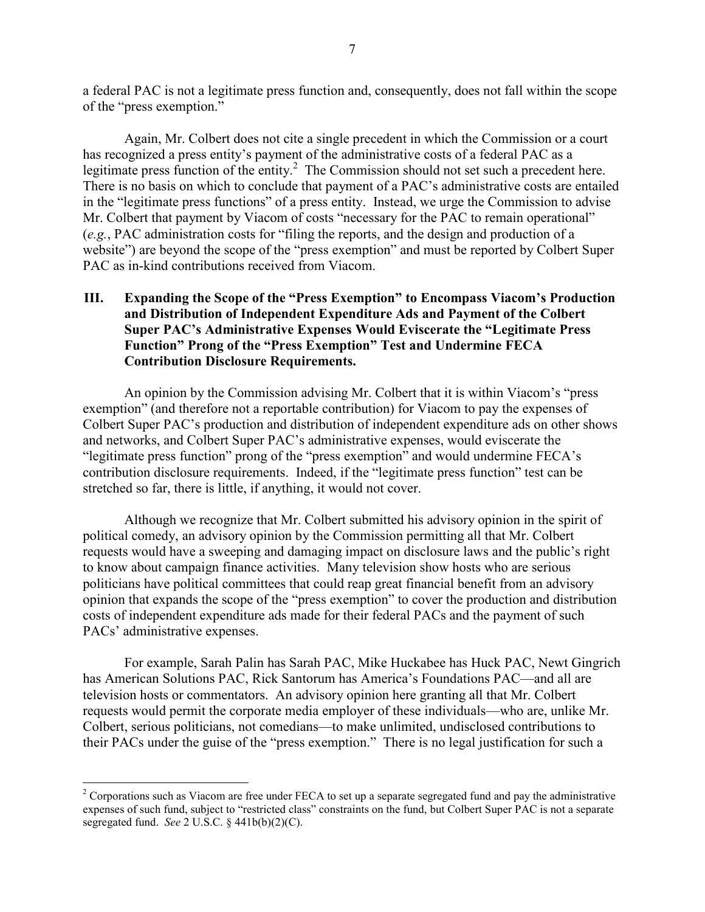a federal PAC is not a legitimate press function and, consequently, does not fall within the scope of the "press exemption."

Again, Mr. Colbert does not cite a single precedent in which the Commission or a court has recognized a press entity's payment of the administrative costs of a federal PAC as a legitimate press function of the entity.<sup>2</sup> The Commission should not set such a precedent here. There is no basis on which to conclude that payment of a PAC's administrative costs are entailed in the "legitimate press functions" of a press entity. Instead, we urge the Commission to advise Mr. Colbert that payment by Viacom of costs "necessary for the PAC to remain operational" (*e.g.*, PAC administration costs for "filing the reports, and the design and production of a website") are beyond the scope of the "press exemption" and must be reported by Colbert Super PAC as in-kind contributions received from Viacom.

### **III. Expanding the Scope of the "Press Exemption" to Encompass Viacom's Production and Distribution of Independent Expenditure Ads and Payment of the Colbert Super PAC's Administrative Expenses Would Eviscerate the "Legitimate Press Function" Prong of the "Press Exemption" Test and Undermine FECA Contribution Disclosure Requirements.**

An opinion by the Commission advising Mr. Colbert that it is within Viacom's "press exemption" (and therefore not a reportable contribution) for Viacom to pay the expenses of Colbert Super PAC's production and distribution of independent expenditure ads on other shows and networks, and Colbert Super PAC's administrative expenses, would eviscerate the "legitimate press function" prong of the "press exemption" and would undermine FECA's contribution disclosure requirements. Indeed, if the "legitimate press function" test can be stretched so far, there is little, if anything, it would not cover.

Although we recognize that Mr. Colbert submitted his advisory opinion in the spirit of political comedy, an advisory opinion by the Commission permitting all that Mr. Colbert requests would have a sweeping and damaging impact on disclosure laws and the public's right to know about campaign finance activities. Many television show hosts who are serious politicians have political committees that could reap great financial benefit from an advisory opinion that expands the scope of the "press exemption" to cover the production and distribution costs of independent expenditure ads made for their federal PACs and the payment of such PACs' administrative expenses.

For example, Sarah Palin has Sarah PAC, Mike Huckabee has Huck PAC, Newt Gingrich has American Solutions PAC, Rick Santorum has America's Foundations PAC—and all are television hosts or commentators. An advisory opinion here granting all that Mr. Colbert requests would permit the corporate media employer of these individuals—who are, unlike Mr. Colbert, serious politicians, not comedians—to make unlimited, undisclosed contributions to their PACs under the guise of the "press exemption." There is no legal justification for such a

 $\overline{a}$ 

 $2^2$  Corporations such as Viacom are free under FECA to set up a separate segregated fund and pay the administrative expenses of such fund, subject to "restricted class" constraints on the fund, but Colbert Super PAC is not a separate segregated fund. *See* 2 U.S.C. § 441b(b)(2)(C).